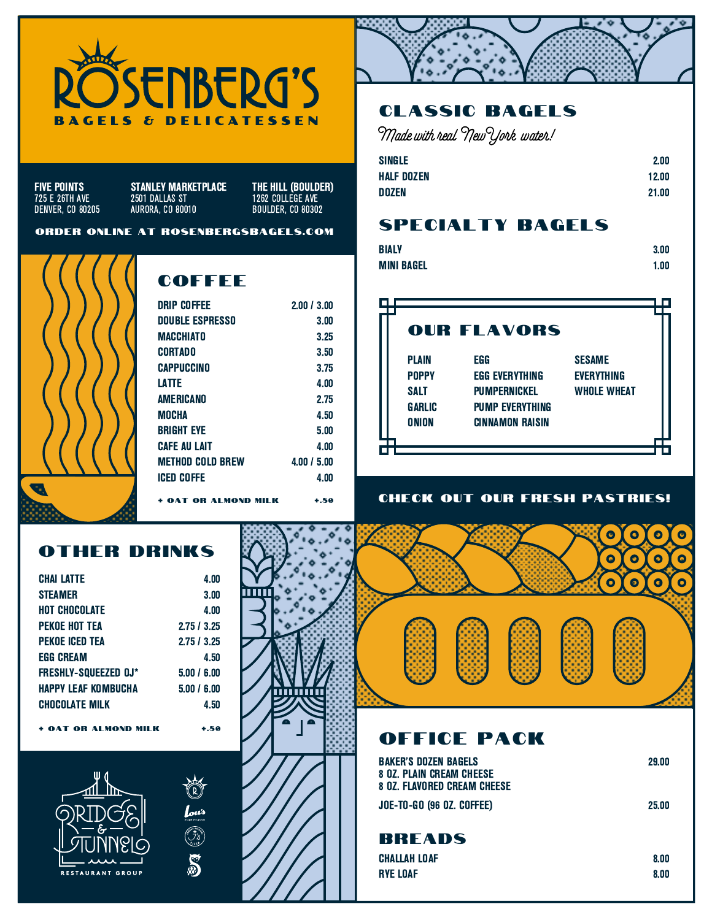

FIVE POINTS 725 E 26TH AVE DENVER, CO 80205

2501 DALLAS ST AURORA, CO 80010 STANLEY MARKETPLACE THE HILL (BOULDER)

1262 COLLEGE AVE BOULDER, CO 80302

#### order online at rosenbergsbagels.com



# **COFFEE**

| <b>DRIP COFFEE</b>     | 2.00 / 3.00         |
|------------------------|---------------------|
| <b>DOUBLE ESPRESSO</b> | 3.00                |
| MACCHIATO              | 3.25                |
| CORTADO                | 3.50                |
| CAPPUCCINO             | 3.75                |
| <b>LATTE</b>           | 4.00                |
| AMERICANO              | 2.75                |
| MOCHA                  | 4.50                |
| <b>BRIGHT EVE</b>      | 5.00                |
| <b>CAFE AU LAIT</b>    | 4.00                |
| METHOD COLD BREW       | $4.00 \; / \; 5.00$ |
| ICED COFFE             | 4.00                |
| OAT OR AI MOND MIL     | $+ .50$             |

## other drinks

| <b>CHAI LATTE</b>           | 4.00        |
|-----------------------------|-------------|
| <b>STEAMER</b>              | 3.00        |
| HOT CHOCOLATE               | 4.00        |
| PEKOE HOT TEA               | 2.75/3.25   |
| PEKOE ICED TEA              | 2.75/3.25   |
| <b>EGG CREAM</b>            | 4.50        |
| <b>FRESHLY-SOUEEZED OJ*</b> | 5.00 / 6.00 |
| HAPPY LEAF KOMBUCHA         | 5.00 / 6.00 |
| <b>CHOCOLATE MILK</b>       | 4.50        |
| + OAT OR ALMOND MILK        | +.50        |



 $\int_{\partial u}$ 

S



# classic bagels

Made with real New York water!

| <b>SINGLE</b>     | 2.00  |
|-------------------|-------|
| <b>HALF DOZEN</b> | 12.00 |
| <b>DOZEN</b>      | 21.00 |

## specialty bagels

| BIALY      | 3.00 |
|------------|------|
| MINI BAGEL | 1.00 |



#### CHECK OUT OUR FRESH PASTRIES!

 $\bullet$ 

 $\overline{\mathbf{o}}$ 

 $\overline{\mathbf{o}}$  $\bullet$ 

 $\overline{\mathbf{o}}$ 

 $\bullet$  $\bullet$ 

 $\bullet$  $\overline{\mathbf{o}}$ 

> $\bullet$ Ω

 $\overline{\mathbf{o}}$ 

# office pack

| BAKER'S DOZEN BAGELS<br>8 OZ. PLAIN CREAM CHEESE<br>8 OZ. FLAVORED CREAM CHEESE | 29.00 |
|---------------------------------------------------------------------------------|-------|
| Joe-To-Go (96 OZ. COFFEE)                                                       | 25.00 |
|                                                                                 |       |

8.00 8.00

## **BREADS**

| <b>CHALLAH LOAF</b> |  |  |
|---------------------|--|--|
| <b>RYE LOAF</b>     |  |  |